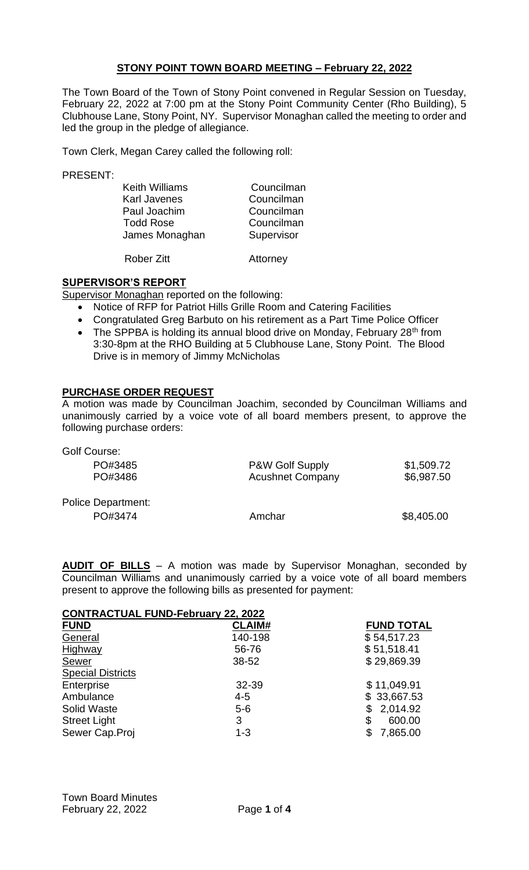## **STONY POINT TOWN BOARD MEETING – February 22, 2022**

The Town Board of the Town of Stony Point convened in Regular Session on Tuesday, February 22, 2022 at 7:00 pm at the Stony Point Community Center (Rho Building), 5 Clubhouse Lane, Stony Point, NY. Supervisor Monaghan called the meeting to order and led the group in the pledge of allegiance.

Town Clerk, Megan Carey called the following roll:

PRESENT:

| Councilman |
|------------|
|            |
| Councilman |
| Councilman |
| Supervisor |
|            |
|            |

Rober Zitt Attorney

## **SUPERVISOR'S REPORT**

Supervisor Monaghan reported on the following:

- Notice of RFP for Patriot Hills Grille Room and Catering Facilities
- Congratulated Greg Barbuto on his retirement as a Part Time Police Officer
- The SPPBA is holding its annual blood drive on Monday, February 28<sup>th</sup> from 3:30-8pm at the RHO Building at 5 Clubhouse Lane, Stony Point. The Blood Drive is in memory of Jimmy McNicholas

## **PURCHASE ORDER REQUEST**

A motion was made by Councilman Joachim, seconded by Councilman Williams and unanimously carried by a voice vote of all board members present, to approve the following purchase orders:

| Golf Course:              |                         |            |
|---------------------------|-------------------------|------------|
| PO#3485                   | P&W Golf Supply         | \$1,509.72 |
| PO#3486                   | <b>Acushnet Company</b> | \$6,987.50 |
| <b>Police Department:</b> |                         |            |
| PO#3474                   | Amchar                  | \$8,405.00 |

**AUDIT OF BILLS** – A motion was made by Supervisor Monaghan, seconded by Councilman Williams and unanimously carried by a voice vote of all board members present to approve the following bills as presented for payment:

## **CONTRACTUAL FUND-February 22, 2022**

| <b>FUND</b>              | <b>CLAIM#</b> | <b>FUND TOTAL</b> |
|--------------------------|---------------|-------------------|
| General                  | 140-198       | \$54,517.23       |
| Highway                  | 56-76         | \$51,518.41       |
| Sewer                    | 38-52         | \$29,869.39       |
| <b>Special Districts</b> |               |                   |
| Enterprise               | 32-39         | \$11,049.91       |
| Ambulance                | $4 - 5$       | \$33,667.53       |
| <b>Solid Waste</b>       | $5-6$         | 2,014.92<br>\$    |
| <b>Street Light</b>      | 3             | \$<br>600.00      |
| Sewer Cap.Proj           | $1 - 3$       | \$<br>7,865.00    |
|                          |               |                   |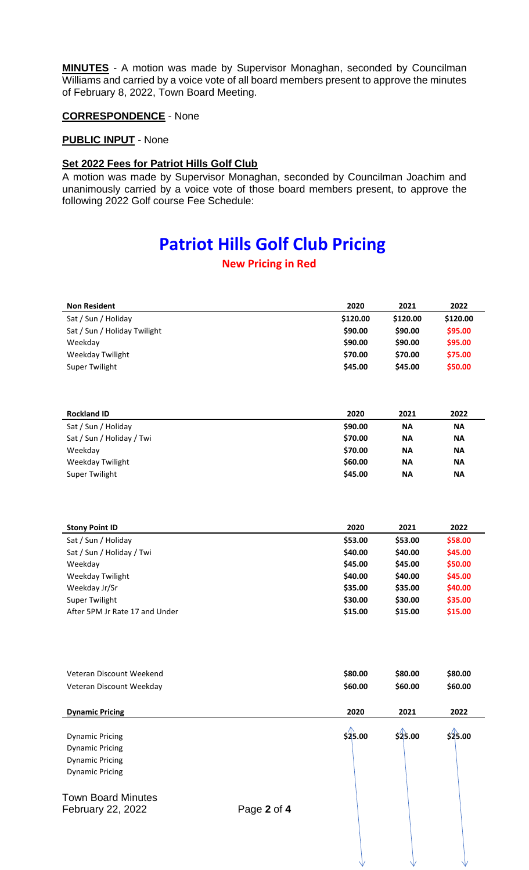**MINUTES** - A motion was made by Supervisor Monaghan, seconded by Councilman Williams and carried by a voice vote of all board members present to approve the minutes of February 8, 2022, Town Board Meeting.

#### **CORRESPONDENCE** - None

#### **PUBLIC INPUT** - None

## **Set 2022 Fees for Patriot Hills Golf Club**

A motion was made by Supervisor Monaghan, seconded by Councilman Joachim and unanimously carried by a voice vote of those board members present, to approve the following 2022 Golf course Fee Schedule:

# **Patriot Hills Golf Club Pricing**

## **New Pricing in Red**

| <b>Non Resident</b>          | 2020     | 2021     | 2022     |
|------------------------------|----------|----------|----------|
| Sat / Sun / Holiday          | \$120.00 | \$120.00 | \$120.00 |
| Sat / Sun / Holiday Twilight | \$90.00  | \$90.00  | \$95.00  |
| Weekday                      | \$90.00  | \$90.00  | \$95.00  |
| Weekday Twilight             | \$70.00  | \$70.00  | \$75.00  |
| Super Twilight               | \$45.00  | \$45.00  | \$50.00  |

| <b>Rockland ID</b>        | 2020    | 2021      | 2022      |
|---------------------------|---------|-----------|-----------|
| Sat / Sun / Holiday       | \$90.00 | <b>NA</b> | <b>NA</b> |
| Sat / Sun / Holiday / Twi | \$70.00 | <b>NA</b> | <b>NA</b> |
| Weekday                   | \$70.00 | <b>NA</b> | <b>NA</b> |
| Weekday Twilight          | \$60.00 | <b>NA</b> | <b>NA</b> |
| Super Twilight            | \$45.00 | <b>NA</b> | <b>NA</b> |

| <b>Stony Point ID</b>          | 2020    | 2021    | 2022    |
|--------------------------------|---------|---------|---------|
| Sat / Sun / Holiday            | \$53.00 | \$53.00 | \$58.00 |
| Sat / Sun / Holiday / Twi      | \$40.00 | \$40.00 | \$45.00 |
| Weekday                        | \$45.00 | \$45.00 | \$50.00 |
| Weekday Twilight               | \$40.00 | \$40.00 | \$45.00 |
| Weekday Jr/Sr                  | \$35.00 | \$35.00 | \$40.00 |
| Super Twilight                 | \$30.00 | \$30.00 | \$35.00 |
| After 5PM Jr Rate 17 and Under | \$15.00 | \$15.00 | \$15.00 |

| Veteran Discount Weekend<br>Veteran Discount Weekday                                                 |             | \$80.00<br>\$60.00 | \$80.00<br>\$60.00 | \$80.00<br>\$60.00 |
|------------------------------------------------------------------------------------------------------|-------------|--------------------|--------------------|--------------------|
| <b>Dynamic Pricing</b>                                                                               |             | 2020               | 2021               | 2022               |
| <b>Dynamic Pricing</b><br><b>Dynamic Pricing</b><br><b>Dynamic Pricing</b><br><b>Dynamic Pricing</b> |             | \$25.00            | \$25.00            | \$25.00            |
| <b>Town Board Minutes</b><br>February 22, 2022                                                       | Page 2 of 4 |                    |                    |                    |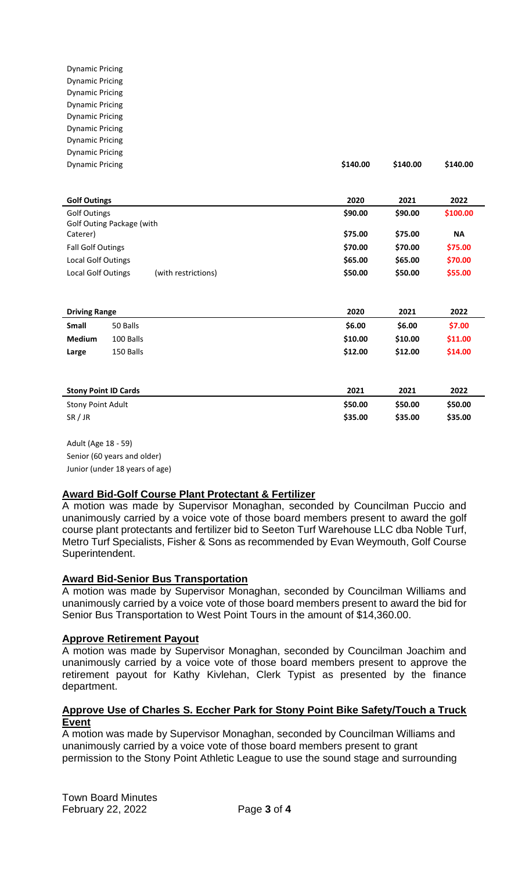Dynamic Pricing Dynamic Pricing Dynamic Pricing Dynamic Pricing Dynamic Pricing Dynamic Pricing Dynamic Pricing Dynamic Pricing Dynamic Pricing **\$140.00 \$140.00 \$140.00**

| <b>Golf Outings</b>       |                     | 2020    | 2021    | 2022      |
|---------------------------|---------------------|---------|---------|-----------|
| <b>Golf Outings</b>       |                     | \$90.00 | \$90.00 | \$100.00  |
| Golf Outing Package (with |                     |         |         |           |
| Caterer)                  |                     | \$75.00 | \$75.00 | <b>NA</b> |
| <b>Fall Golf Outings</b>  |                     | \$70.00 | \$70.00 | \$75.00   |
| <b>Local Golf Outings</b> |                     | \$65.00 | \$65.00 | \$70.00   |
| Local Golf Outings        | (with restrictions) | \$50.00 | \$50.00 | \$55.00   |
|                           |                     |         |         |           |

| <b>Driving Range</b> |           | 2020    | 2021    | 2022    |
|----------------------|-----------|---------|---------|---------|
| Small                | 50 Balls  | \$6.00  | \$6.00  | \$7.00  |
| <b>Medium</b>        | 100 Balls | \$10.00 | \$10.00 | \$11.00 |
| Large                | 150 Balls | \$12.00 | \$12.00 | \$14.00 |
|                      |           |         |         |         |

| <b>Stony Point ID Cards</b> | 2021    | 2021    | 2022    |
|-----------------------------|---------|---------|---------|
| <b>Stony Point Adult</b>    | \$50.00 | \$50.00 | \$50.00 |
| SR / JR                     | \$35.00 | \$35.00 | \$35.00 |

Adult (Age 18 - 59) Senior (60 years and older) Junior (under 18 years of age)

## **Award Bid-Golf Course Plant Protectant & Fertilizer**

A motion was made by Supervisor Monaghan, seconded by Councilman Puccio and unanimously carried by a voice vote of those board members present to award the golf course plant protectants and fertilizer bid to Seeton Turf Warehouse LLC dba Noble Turf, Metro Turf Specialists, Fisher & Sons as recommended by Evan Weymouth, Golf Course Superintendent.

#### **Award Bid-Senior Bus Transportation**

A motion was made by Supervisor Monaghan, seconded by Councilman Williams and unanimously carried by a voice vote of those board members present to award the bid for Senior Bus Transportation to West Point Tours in the amount of \$14,360.00.

#### **Approve Retirement Payout**

A motion was made by Supervisor Monaghan, seconded by Councilman Joachim and unanimously carried by a voice vote of those board members present to approve the retirement payout for Kathy Kivlehan, Clerk Typist as presented by the finance department.

#### **Approve Use of Charles S. Eccher Park for Stony Point Bike Safety/Touch a Truck Event**

A motion was made by Supervisor Monaghan, seconded by Councilman Williams and unanimously carried by a voice vote of those board members present to grant permission to the Stony Point Athletic League to use the sound stage and surrounding